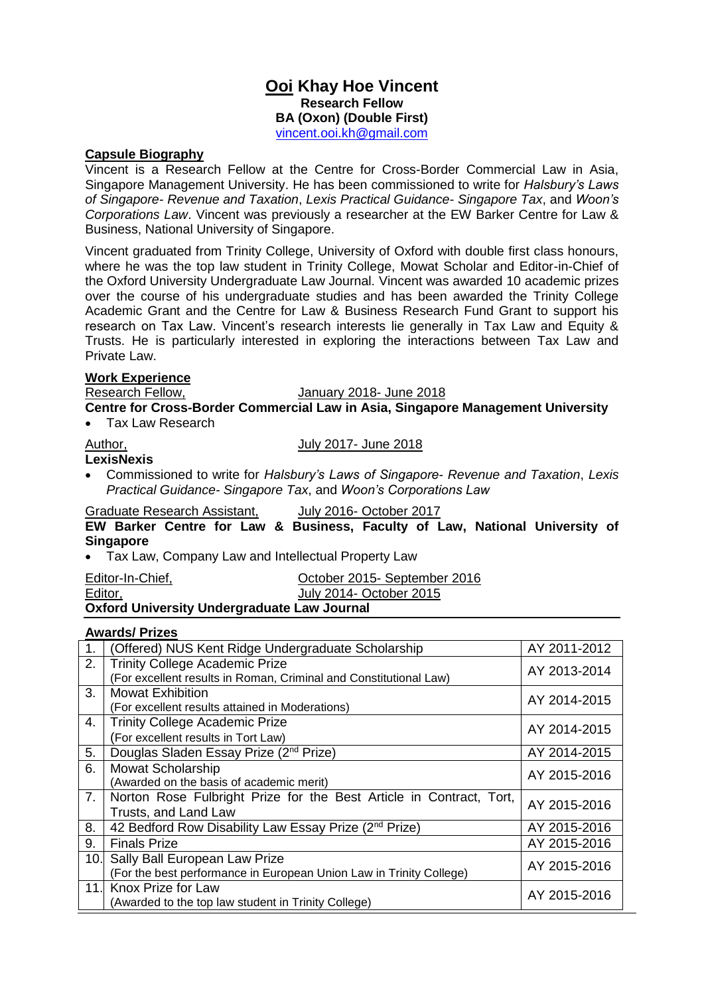### **Ooi Khay Hoe Vincent Research Fellow BA (Oxon) (Double First)** [vincent.ooi.kh@gmail.com](mailto:vincent.ooi.kh@gmail.com)

## **Capsule Biography**

Vincent is a Research Fellow at the Centre for Cross-Border Commercial Law in Asia, Singapore Management University. He has been commissioned to write for *Halsbury's Laws of Singapore- Revenue and Taxation*, *Lexis Practical Guidance- Singapore Tax*, and *Woon's Corporations Law*. Vincent was previously a researcher at the EW Barker Centre for Law & Business, National University of Singapore.

Vincent graduated from Trinity College, University of Oxford with double first class honours, where he was the top law student in Trinity College, Mowat Scholar and Editor-in-Chief of the Oxford University Undergraduate Law Journal. Vincent was awarded 10 academic prizes over the course of his undergraduate studies and has been awarded the Trinity College Academic Grant and the Centre for Law & Business Research Fund Grant to support his research on Tax Law. Vincent's research interests lie generally in Tax Law and Equity & Trusts. He is particularly interested in exploring the interactions between Tax Law and Private Law.

# **Work Experience**

#### January 2018- June 2018

**Centre for Cross-Border Commercial Law in Asia, Singapore Management University**  Tax Law Research

#### Author, **Author, 2017-** July 2017- June 2018

- **LexisNexis**
- 
- Commissioned to write for *Halsbury's Laws of Singapore- Revenue and Taxation*, *Lexis Practical Guidance- Singapore Tax*, and *Woon's Corporations Law*

#### Graduate Research Assistant, July 2016- October 2017

**EW Barker Centre for Law & Business, Faculty of Law, National University of Singapore**

Tax Law, Company Law and Intellectual Property Law

| Editor-In-Chief,                                   | October 2015- September 2016 |  |
|----------------------------------------------------|------------------------------|--|
| Editor,                                            | July 2014- October 2015      |  |
| <b>Oxford University Undergraduate Law Journal</b> |                              |  |

#### **Awards/ Prizes**

| $\overline{1}$ . | (Offered) NUS Kent Ridge Undergraduate Scholarship                  | AY 2011-2012 |
|------------------|---------------------------------------------------------------------|--------------|
| 2.               | <b>Trinity College Academic Prize</b>                               | AY 2013-2014 |
|                  | (For excellent results in Roman, Criminal and Constitutional Law)   |              |
| 3.               | <b>Mowat Exhibition</b>                                             | AY 2014-2015 |
|                  | (For excellent results attained in Moderations)                     |              |
| 4.               | <b>Trinity College Academic Prize</b>                               | AY 2014-2015 |
|                  | (For excellent results in Tort Law)                                 |              |
| 5.               | Douglas Sladen Essay Prize (2 <sup>nd</sup> Prize)                  | AY 2014-2015 |
| 6.               | <b>Mowat Scholarship</b>                                            | AY 2015-2016 |
|                  | (Awarded on the basis of academic merit)                            |              |
| 7.               | Norton Rose Fulbright Prize for the Best Article in Contract, Tort, | AY 2015-2016 |
|                  | Trusts, and Land Law                                                |              |
| 8.               | 42 Bedford Row Disability Law Essay Prize (2 <sup>nd</sup> Prize)   | AY 2015-2016 |
| 9.               | <b>Finals Prize</b>                                                 | AY 2015-2016 |
| 10.              | Sally Ball European Law Prize                                       | AY 2015-2016 |
|                  | (For the best performance in European Union Law in Trinity College) |              |
| 11.              | Knox Prize for Law                                                  | AY 2015-2016 |
|                  | (Awarded to the top law student in Trinity College)                 |              |